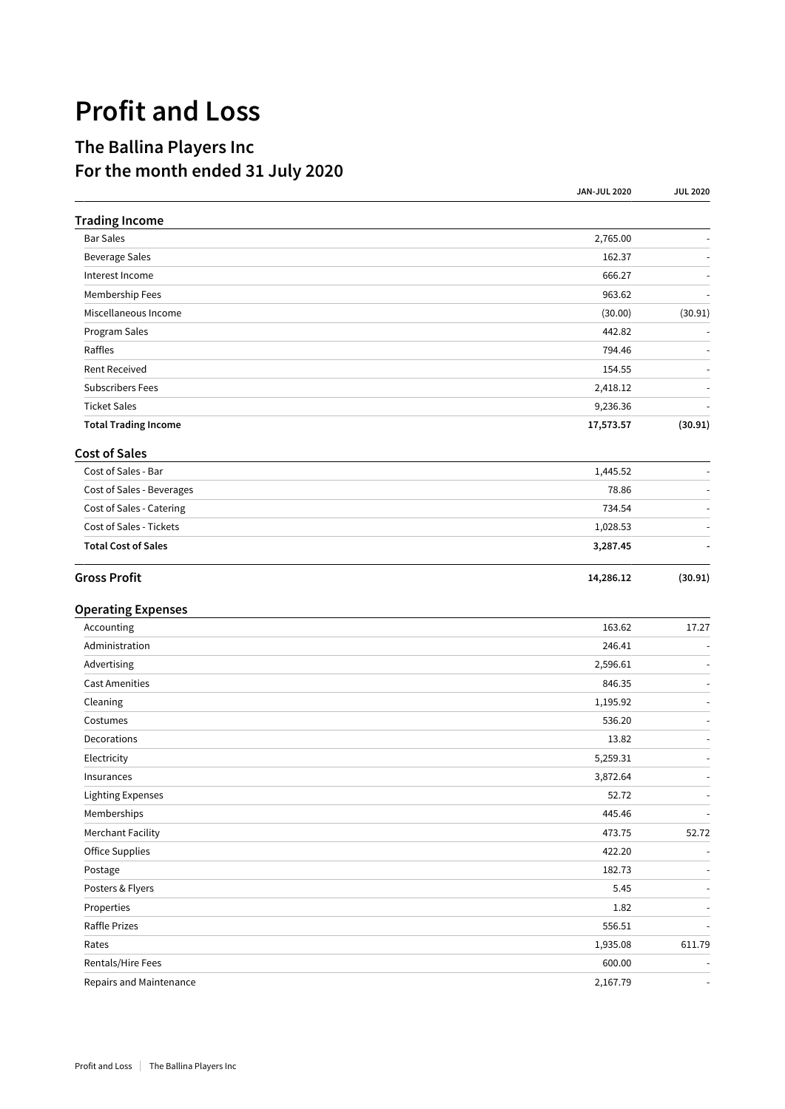## **Profit and Loss**

## **The Ballina Players Inc For the month ended 31 July 2020**

|                             | <b>JAN-JUL 2020</b> | <b>JUL 2020</b>          |
|-----------------------------|---------------------|--------------------------|
| <b>Trading Income</b>       |                     |                          |
| <b>Bar Sales</b>            | 2,765.00            |                          |
| <b>Beverage Sales</b>       | 162.37              |                          |
| Interest Income             | 666.27              |                          |
| Membership Fees             | 963.62              |                          |
| Miscellaneous Income        | (30.00)             | (30.91)                  |
| Program Sales               | 442.82              | $\overline{\phantom{a}}$ |
| Raffles                     | 794.46              |                          |
| <b>Rent Received</b>        | 154.55              |                          |
| <b>Subscribers Fees</b>     | 2,418.12            |                          |
| <b>Ticket Sales</b>         | 9,236.36            |                          |
| <b>Total Trading Income</b> | 17,573.57           | (30.91)                  |
| <b>Cost of Sales</b>        |                     |                          |
| Cost of Sales - Bar         | 1,445.52            |                          |
| Cost of Sales - Beverages   | 78.86               | $\overline{\phantom{a}}$ |
| Cost of Sales - Catering    | 734.54              |                          |
| Cost of Sales - Tickets     | 1,028.53            |                          |
| <b>Total Cost of Sales</b>  | 3,287.45            |                          |
| <b>Gross Profit</b>         | 14,286.12           | (30.91)                  |
| <b>Operating Expenses</b>   |                     |                          |
| Accounting                  | 163.62              | 17.27                    |
| Administration              | 246.41              |                          |
| Advertising                 | 2,596.61            |                          |
| <b>Cast Amenities</b>       | 846.35              |                          |
| Cleaning                    | 1,195.92            |                          |
| Costumes                    | 536.20              |                          |
| Decorations                 | 13.82               |                          |
| Electricity                 | 5,259.31            | $\overline{\phantom{a}}$ |
| Insurances                  | 3,872.64            |                          |
| <b>Lighting Expenses</b>    | 52.72               | $\overline{\phantom{a}}$ |
| Memberships                 | 445.46              | $\overline{\phantom{a}}$ |
| <b>Merchant Facility</b>    | 473.75              | 52.72                    |
| Office Supplies             | 422.20              |                          |
| Postage                     | 182.73              |                          |
| Posters & Flyers            | 5.45                | $\blacksquare$           |
| Properties                  | 1.82                |                          |
| Raffle Prizes               | 556.51              |                          |
| Rates                       | 1,935.08            | 611.79                   |
| Rentals/Hire Fees           | 600.00              |                          |
| Repairs and Maintenance     | 2,167.79            |                          |